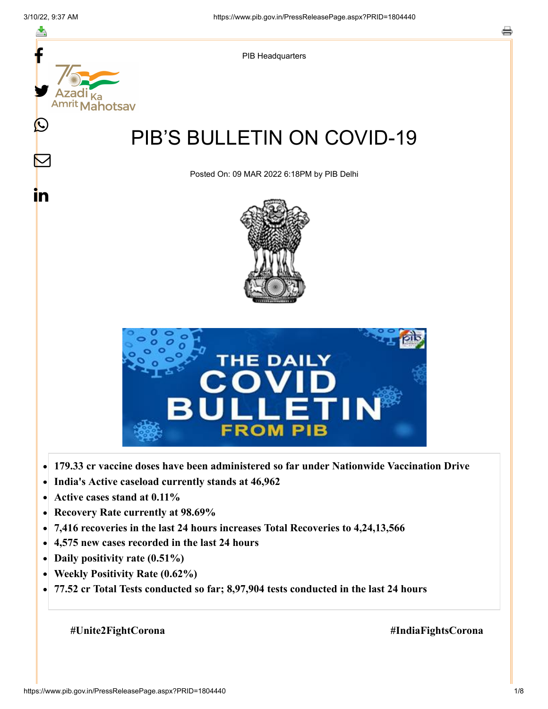

- **Active cases stand at 0.11%**  $\bullet$
- **Recovery Rate currently at 98.69%**  $\bullet$
- **7,416 recoveries in the last 24 hours increases Total Recoveries to 4,24,13,566**  $\bullet$
- **4,575 new cases recorded in the last 24 hours**  $\bullet$
- **Daily positivity rate (0.51%)**  $\bullet$
- **Weekly Positivity Rate (0.62%)**  $\bullet$
- **77.52 cr Total Tests conducted so far; 8,97,904 tests conducted in the last 24 hours**  $\bullet$

 **#Unite2FightCorona #IndiaFightsCorona**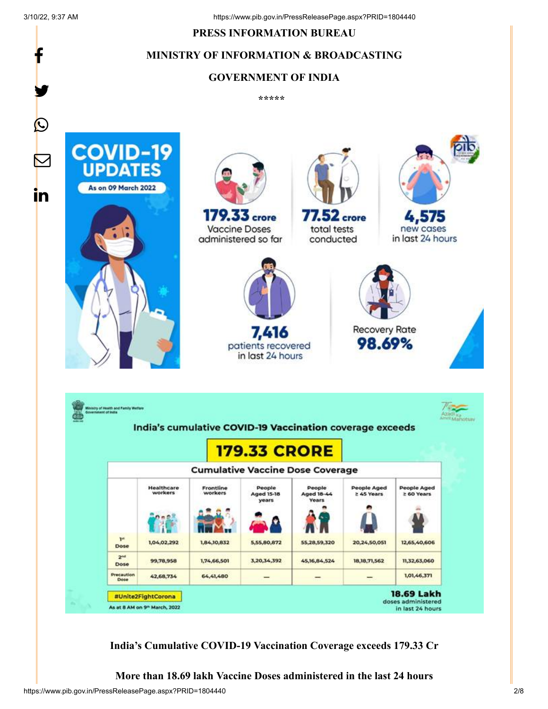f

y.

#### **PRESS INFORMATION BUREAU**

## **MINISTRY OF INFORMATION & BROADCASTING**

#### **GOVERNMENT OF INDIA**

**\*\*\*\*\*** 



**India's Cumulative COVID-19 Vaccination Coverage exceeds 179.33 Cr**

**More than 18.69 lakh Vaccine Doses administered in the last 24 hours**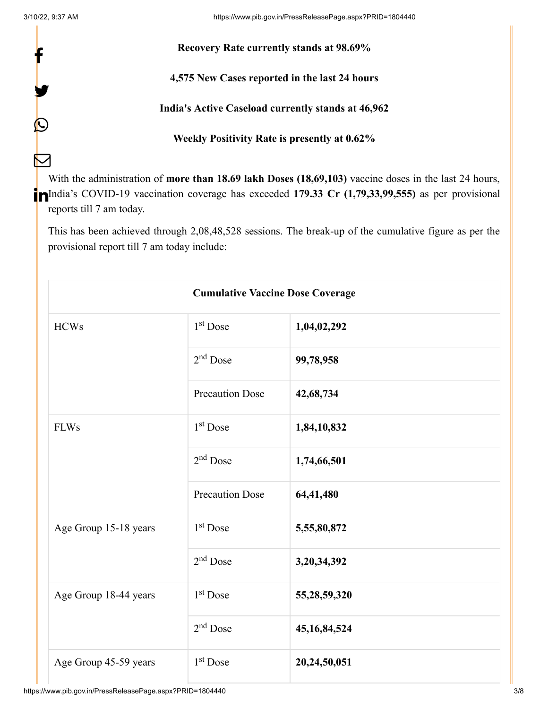f

y.

 $\bm{\mathcal{Q}}$ 

 $\sum$ 

### **Recovery Rate currently stands at 98.69%**

**4,575 New Cases reported in the last 24 hours**

**India's Active Caseload currently stands at 46,962**

**Weekly Positivity Rate is presently at 0.62%**

With the administration of **more than 18.69 lakh Doses (18,69,103)** vaccine doses in the last 24 hours, India's COVID-19 vaccination coverage has exceeded **179.33 Cr (1,79,33,99,555)** as per provisional reports till 7 am today.

This has been achieved through 2,08,48,528 sessions. The break-up of the cumulative figure as per the provisional report till 7 am today include:

| <b>Cumulative Vaccine Dose Coverage</b> |                        |                 |  |  |
|-----------------------------------------|------------------------|-----------------|--|--|
| <b>HCWs</b>                             | $1st$ Dose             | 1,04,02,292     |  |  |
|                                         | $2nd$ Dose             | 99,78,958       |  |  |
|                                         | <b>Precaution Dose</b> | 42,68,734       |  |  |
| <b>FLWs</b>                             | $1st$ Dose             | 1,84,10,832     |  |  |
|                                         | $2nd$ Dose             | 1,74,66,501     |  |  |
|                                         | <b>Precaution Dose</b> | 64,41,480       |  |  |
| Age Group 15-18 years                   | $1st$ Dose             | 5,55,80,872     |  |  |
|                                         | $2nd$ Dose             | 3,20,34,392     |  |  |
| Age Group 18-44 years                   | $1st$ Dose             | 55,28,59,320    |  |  |
|                                         | $2nd$ Dose             | 45, 16, 84, 524 |  |  |
| Age Group 45-59 years                   | $1st$ Dose             | 20,24,50,051    |  |  |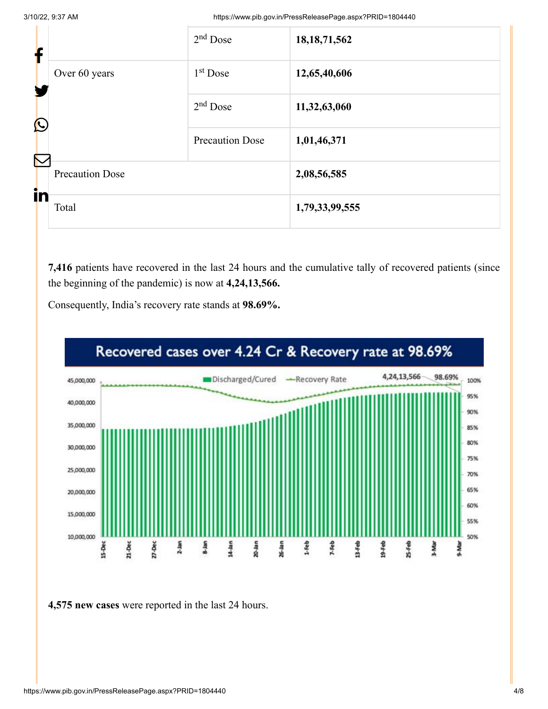3/10/22, 9:37 AM https://www.pib.gov.in/PressReleasePage.aspx?PRID=1804440

| f                     |                        | $2nd$ Dose             | 18, 18, 71, 562 |
|-----------------------|------------------------|------------------------|-----------------|
|                       | Over 60 years          | $1st$ Dose             | 12,65,40,606    |
| $\bigcirc$            |                        | $2nd$ Dose             | 11,32,63,060    |
|                       |                        | <b>Precaution Dose</b> | 1,01,46,371     |
| $\boldsymbol{\nabla}$ | <b>Precaution Dose</b> |                        | 2,08,56,585     |
| in                    | Total                  |                        | 1,79,33,99,555  |

**7,416** patients have recovered in the last 24 hours and the cumulative tally of recovered patients (since the beginning of the pandemic) is now at **4,24,13,566.**



Consequently, India's recovery rate stands at **98.69%.**

**4,575 new cases** were reported in the last 24 hours.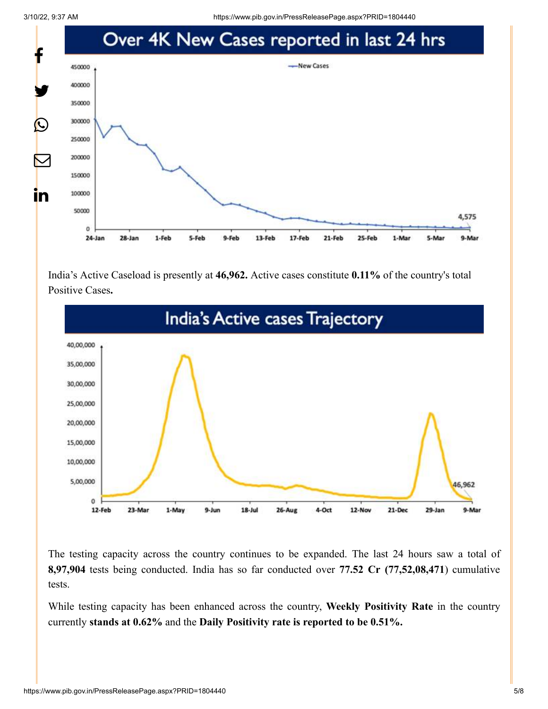

India's Active Caseload is presently at **46,962.** Active cases constitute **0.11%** of the country's total Positive Cases**.**



The testing capacity across the country continues to be expanded. The last 24 hours saw a total of **8,97,904** tests being conducted. India has so far conducted over **77.52 Cr (77,52,08,471**) cumulative tests.

While testing capacity has been enhanced across the country, **Weekly Positivity Rate** in the country currently **stands at 0.62%** and the **Daily Positivity rate is reported to be 0.51%.**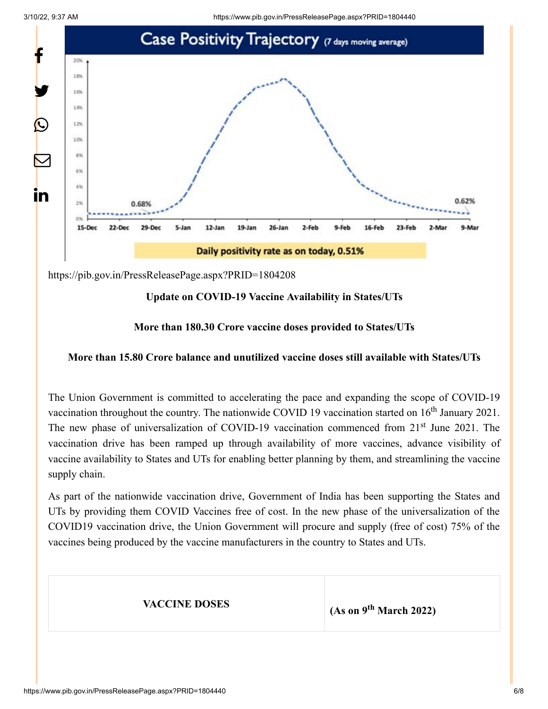

<https://pib.gov.in/PressReleasePage.aspx?PRID=1804208>

#### **Update on COVID-19 Vaccine Availability in States/UTs**

#### **More than 180.30 Crore vaccine doses provided to States/UTs**

#### **More than 15.80 Crore balance and unutilized vaccine doses still available with States/UTs**

The Union Government is committed to accelerating the pace and expanding the scope of COVID-19 vaccination throughout the country. The nationwide COVID 19 vaccination started on  $16<sup>th</sup>$  January 2021. The new phase of universalization of COVID-19 vaccination commenced from 21<sup>st</sup> June 2021. The vaccination drive has been ramped up through availability of more vaccines, advance visibility of vaccine availability to States and UTs for enabling better planning by them, and streamlining the vaccine supply chain.

As part of the nationwide vaccination drive, Government of India has been supporting the States and UTs by providing them COVID Vaccines free of cost. In the new phase of the universalization of the COVID19 vaccination drive, the Union Government will procure and supply (free of cost) 75% of the vaccines being produced by the vaccine manufacturers in the country to States and UTs.

**VACCINE DOSES** (As on  $9<sup>th</sup>$  March 2022)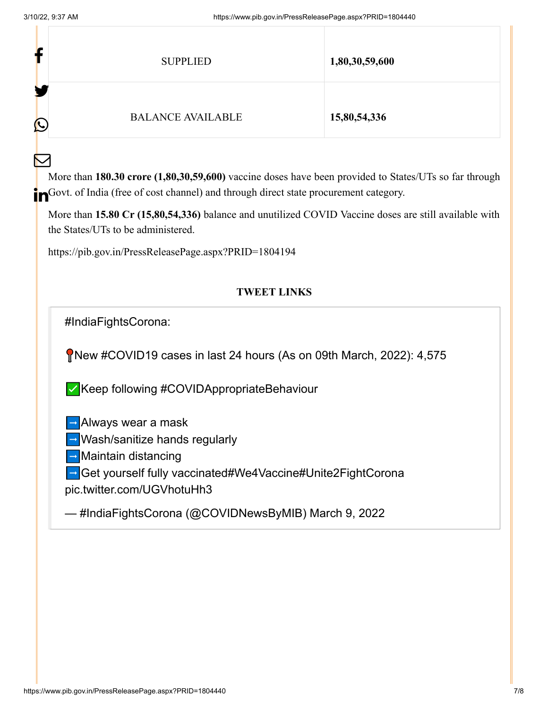$\mathbf{H}^{\prime}$ 

 $\bm{\nabla}$ 

| ľ | <b>SUPPLIED</b>          | 1,80,30,59,600 |
|---|--------------------------|----------------|
| C | <b>BALANCE AVAILABLE</b> | 15,80,54,336   |

More than **180.30 crore (1,80,30,59,600)** vaccine doses have been provided to States/UTs so far through **in** Govt. of India (free of cost channel) and through direct state procurement category.

More than **15.80 Cr (15,80,54,336)** balance and unutilized COVID Vaccine doses are still available with the States/UTs to be administered.

<https://pib.gov.in/PressReleasePage.aspx?PRID=1804194>

# **TWEET LINKS**

[#IndiaFightsCorona](https://twitter.com/hashtag/IndiaFightsCorona?src=hash&ref_src=twsrc%5Etfw):

New [#COVID19](https://twitter.com/hashtag/COVID19?src=hash&ref_src=twsrc%5Etfw) cases in last 24 hours (As on 09th March, 2022): 4,575

✅Keep following [#COVIDAppropriateBehaviour](https://twitter.com/hashtag/COVIDAppropriateBehaviour?src=hash&ref_src=twsrc%5Etfw)

 $\rightarrow$  Always wear a mask

➡️Wash/sanitize hands regularly

➡️Maintain distancing

➡️Get yourself fully vaccinated[#We4Vaccine](https://twitter.com/hashtag/We4Vaccine?src=hash&ref_src=twsrc%5Etfw)[#Unite2FightCorona](https://twitter.com/hashtag/Unite2FightCorona?src=hash&ref_src=twsrc%5Etfw)

[pic.twitter.com/UGVhotuHh3](https://t.co/UGVhotuHh3)

— #IndiaFightsCorona (@COVIDNewsByMIB) [March 9, 2022](https://twitter.com/COVIDNewsByMIB/status/1501418626708291584?ref_src=twsrc%5Etfw)